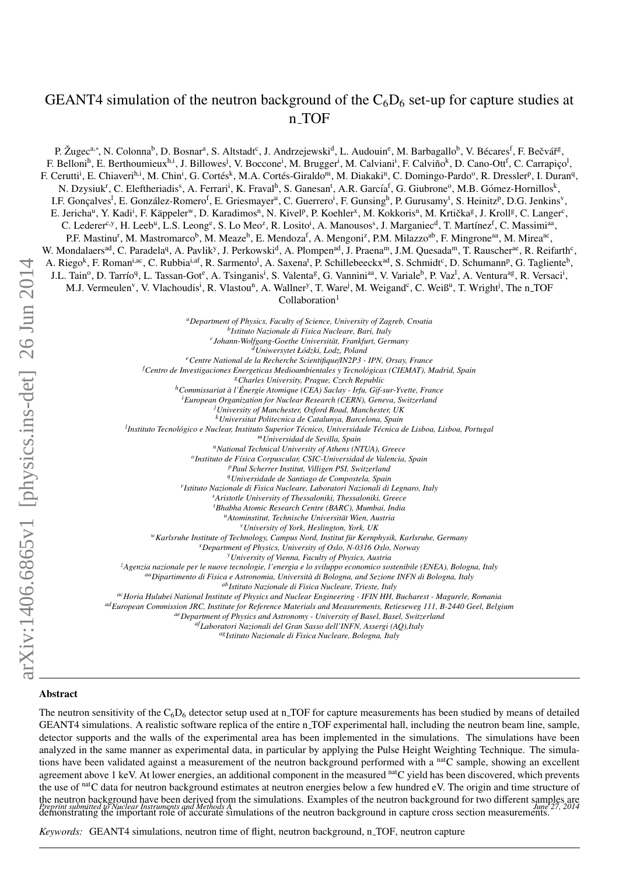# GEANT4 simulation of the neutron background of the  $C_6D_6$  set-up for capture studies at n TOF

P. Žugec<sup>a,∗</sup>, N. Colonna<sup>b</sup>, D. Bosnar<sup>a</sup>, S. Altstadt<sup>c</sup>, J. Andrzejewski<sup>d</sup>, L. Audouin<sup>e</sup>, M. Barbagallo<sup>b</sup>, V. Bécares<sup>f</sup>, F. Bečvář<sup>g</sup>, F. Belloni<sup>h</sup>, E. Berthoumieux<sup>h.i</sup>, J. Billowes<sup>j</sup>, V. Boccone<sup>i</sup>, M. Brugger<sup>i</sup>, M. Calviani<sup>i</sup>, F. Calviño<sup>k</sup>, D. Cano-Ott<sup>f</sup>, C. Carrapiço<sup>l</sup>, F. Cerutti<sup>i</sup>, E. Chiaveri<sup>h,i</sup>, M. Chin<sup>i</sup>, G. Cortés<sup>k</sup>, M.A. Cortés-Giraldo<sup>m</sup>, M. Diakaki<sup>n</sup>, C. Domingo-Pardo<sup>o</sup>, R. Dressler<sup>p</sup>, I. Duran<sup>q</sup>, N. Dzysiuk<sup>r</sup>, C. Eleftheriadis<sup>s</sup>, A. Ferrari<sup>i</sup>, K. Fraval<sup>h</sup>, S. Ganesan<sup>t</sup>, A.R. García<sup>f</sup>, G. Giubrone<sup>o</sup>, M.B. Gómez-Hornillos<sup>k</sup>, I.F. Gonçalves<sup>1</sup>, E. González-Romero<sup>f</sup>, E. Griesmayer<sup>u</sup>, C. Guerrero<sup>i</sup>, F. Gunsing<sup>h</sup>, P. Gurusamy<sup>t</sup>, S. Heinitz<sup>p</sup>, D.G. Jenkins<sup>v</sup>, E. Jericha<sup>u</sup>, Y. Kadi<sup>i</sup>, F. Käppeler<sup>w</sup>, D. Karadimos<sup>n</sup>, N. Kivel<sup>p</sup>, P. Koehler<sup>x</sup>, M. Kokkoris<sup>n</sup>, M. Krtička<sup>g</sup>, J. Kroll<sup>g</sup>, C. Langer<sup>c</sup>, C. Lederer<sup>c,y</sup>, H. Leeb<sup>u</sup>, L.S. Leong<sup>e</sup>, S. Lo Meo<sup>z</sup>, R. Losito<sup>i</sup>, A. Manousos<sup>s</sup>, J. Marganiec<sup>d</sup>, T. Martínez<sup>f</sup>, C. Massimi<sup>aa</sup>, P.F. Mastinu<sup>r</sup>, M. Mastromarco<sup>b</sup>, M. Meaze<sup>b</sup>, E. Mendoza<sup>f</sup>, A. Mengoni<sup>z</sup>, P.M. Milazzo<sup>ab</sup>, F. Mingrone<sup>aa</sup>, M. Mirea<sup>ac</sup>, W. Mondalaers<sup>ad</sup>, C. Paradela<sup>q</sup>, A. Pavlik<sup>y</sup>, J. Perkowski<sup>d</sup>, A. Plompen<sup>ad</sup>, J. Praena<sup>m</sup>, J.M. Quesada<sup>m</sup>, T. Rauscher<sup>ae</sup>, R. Reifarth<sup>c</sup>, A. Riego<sup>k</sup>, F. Roman<sup>i,ac</sup>, C. Rubbia<sup>i,af</sup>, R. Sarmento<sup>l</sup>, A. Saxena<sup>t</sup>, P. Schillebeeckx<sup>ad</sup>, S. Schmidt<sup>c</sup>, D. Schumann<sup>p</sup>, G. Tagliente<sup>b</sup>, J.L. Tain<sup>o</sup>, D. Tarrío<sup>q</sup>, L. Tassan-Got<sup>e</sup>, A. Tsinganis<sup>i</sup>, S. Valenta<sup>g</sup>, G. Vannini<sup>aa</sup>, V. Variale<sup>b</sup>, P. Vaz<sup>l</sup>, A. Ventura<sup>ag</sup>, R. Versaci<sup>i</sup>, M.J. Vermeulen<sup>v</sup>, V. Vlachoudis<sup>i</sup>, R. Vlastou<sup>n</sup>, A. Wallner<sup>y</sup>, T. Ware<sup>j</sup>, M. Weigand<sup>c</sup>, C. Weiß<sup>u</sup>, T. Wright<sup>j</sup>, The n<sub>-</sub>TOF  $Collaboration<sup>1</sup>$ *<sup>a</sup>Department of Physics, Faculty of Science, University of Zagreb, Croatia b Istituto Nazionale di Fisica Nucleare, Bari, Italy c Johann-Wolfgang-Goethe Universit¨at, Frankfurt, Germany <sup>d</sup>Uniwersytet Ł´odzki, Lodz, Poland <sup>e</sup>Centre National de la Recherche Scientifique*/*IN2P3 - IPN, Orsay, France* <sup>*f*</sup> Centro de Investigaciones Energeticas Medioambientales y Tecnológicas (CIEMAT), Madrid, Spain *<sup>g</sup>Charles University, Prague, Czech Republic <sup>h</sup>Commissariat `a l'Energie Atomique (CEA) Saclay - Irfu, Gif-sur-Yvette, France ´ <sup>i</sup>European Organization for Nuclear Research (CERN), Geneva, Switzerland*

*<sup>j</sup>University of Manchester, Oxford Road, Manchester, UK <sup>k</sup>Universitat Politecnica de Catalunya, Barcelona, Spain*

<sup>l</sup> Instituto Tecnológico e Nuclear, Instituto Superior Técnico, Universidade Técnica de Lisboa, Lisboa, Portugal

*<sup>m</sup>Universidad de Sevilla, Spain*

*<sup>n</sup>National Technical University of Athens (NTUA), Greece*

*o Instituto de F´ısica Corpuscular, CSIC-Universidad de Valencia, Spain*

*<sup>p</sup>Paul Scherrer Institut, Villigen PSI, Switzerland*

*<sup>q</sup>Universidade de Santiago de Compostela, Spain r Istituto Nazionale di Fisica Nucleare, Laboratori Nazionali di Legnaro, Italy*

*<sup>s</sup>Aristotle University of Thessaloniki, Thessaloniki, Greece*

*<sup>t</sup>Bhabha Atomic Research Centre (BARC), Mumbai, India*

*<sup>u</sup>Atominstitut, Technische Universit¨at Wien, Austria*

*<sup>v</sup>University of York, Heslington, York, UK*

*wKarlsruhe Institute of Technology, Campus Nord, Institut für Kernphysik, Karlsruhe, Germany* 

*<sup>x</sup>Department of Physics, University of Oslo, N-0316 Oslo, Norway*

*<sup>y</sup>University of Vienna, Faculty of Physics, Austria*

*<sup>z</sup>Agenzia nazionale per le nuove tecnologie, l'energia e lo sviluppo economico sostenibile (ENEA), Bologna, Italy*

aa<sub>*Dipartimento di Fisica e Astronomia, Università di Bologna, and Sezione INFN di Bologna, Italy*</sub>

*abIstituto Nazionale di Fisica Nucleare, Trieste, Italy*

*acHoria Hulubei National Institute of Physics and Nuclear Engineering - IFIN HH, Bucharest - Magurele, Romania*

*adEuropean Commission JRC, Institute for Reference Materials and Measurements, Retieseweg 111, B-2440 Geel, Belgium*

*aeDepartment of Physics and Astronomy - University of Basel, Basel, Switzerland*

*afLaboratori Nazionali del Gran Sasso dell'INFN, Assergi (AQ),Italy*

*agIstituto Nazionale di Fisica Nucleare, Bologna, Italy*

#### Abstract

The neutron sensitivity of the  $C_6D_6$  detector setup used at n\_TOF for capture measurements has been studied by means of detailed GEANT4 simulations. A realistic software replica of the entire n TOF experimental hall, including the neutron beam line, sample, detector supports and the walls of the experimental area has been implemented in the simulations. The simulations have been analyzed in the same manner as experimental data, in particular by applying the Pulse Height Weighting Technique. The simulations have been validated against a measurement of the neutron background performed with a  $<sup>n</sup>a<sup>c</sup>$  sample, showing an excellent</sup> agreement above 1 keV. At lower energies, an additional component in the measured natC yield has been discovered, which prevents the use of natC data for neutron background estimates at neutron energies below a few hundred eV. The origin and time structure of the neutron background have been derived from the simulations. Examples of the neutron background for two different samples are<br>*Preprint submitted to Nuclear Instruments and Methods A multions* of the neutron background demonstrating the important role of accurate simulations of the neutron background in capture cross section measurements.

*Keywords:* GEANT4 simulations, neutron time of flight, neutron background, n\_TOF, neutron capture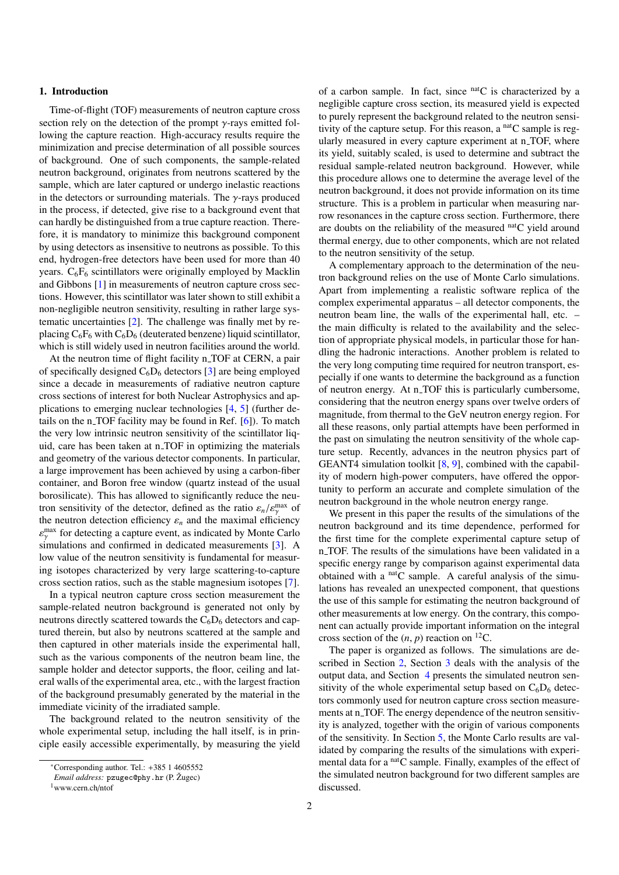#### 1. Introduction

Time-of-flight (TOF) measurements of neutron capture cross section rely on the detection of the prompt  $\gamma$ -rays emitted following the capture reaction. High-accuracy results require the minimization and precise determination of all possible sources of background. One of such components, the sample-related neutron background, originates from neutrons scattered by the sample, which are later captured or undergo inelastic reactions in the detectors or surrounding materials. The  $\gamma$ -rays produced in the process, if detected, give rise to a background event that can hardly be distinguished from a true capture reaction. Therefore, it is mandatory to minimize this background component by using detectors as insensitive to neutrons as possible. To this end, hydrogen-free detectors have been used for more than 40 years.  $C_6F_6$  scintillators were originally employed by Macklin and Gibbons [\[1\]](#page-11-0) in measurements of neutron capture cross sections. However, this scintillator was later shown to still exhibit a non-negligible neutron sensitivity, resulting in rather large systematic uncertainties [\[2\]](#page-11-1). The challenge was finally met by replacing  $C_6F_6$  with  $C_6D_6$  (deuterated benzene) liquid scintillator, which is still widely used in neutron facilities around the world.

At the neutron time of flight facility n\_TOF at CERN, a pair of specifically designed  $C_6D_6$  detectors [\[3\]](#page-11-2) are being employed since a decade in measurements of radiative neutron capture cross sections of interest for both Nuclear Astrophysics and applications to emerging nuclear technologies [\[4,](#page-11-3) [5\]](#page-11-4) (further details on the n<sub>-TOF</sub> facility may be found in Ref.  $[6]$ ). To match the very low intrinsic neutron sensitivity of the scintillator liquid, care has been taken at n TOF in optimizing the materials and geometry of the various detector components. In particular, a large improvement has been achieved by using a carbon-fiber container, and Boron free window (quartz instead of the usual borosilicate). This has allowed to significantly reduce the neutron sensitivity of the detector, defined as the ratio  $\varepsilon_n/\varepsilon_{\gamma}^{\text{max}}$  of<br>the neutron detection efficiency  $\varepsilon$ , and the maximal efficiency the neutron detection efficiency  $\varepsilon_n$  and the maximal efficiency simulations and confirmed in dedicated measurements  $[3]$ . A  $\frac{m}{\gamma}$  for detecting a capture event, as indicated by Monte Carlo low value of the neutron sensitivity is fundamental for measuring isotopes characterized by very large scattering-to-capture cross section ratios, such as the stable magnesium isotopes [\[7\]](#page-11-6).

In a typical neutron capture cross section measurement the sample-related neutron background is generated not only by neutrons directly scattered towards the  $C_6D_6$  detectors and captured therein, but also by neutrons scattered at the sample and then captured in other materials inside the experimental hall, such as the various components of the neutron beam line, the sample holder and detector supports, the floor, ceiling and lateral walls of the experimental area, etc., with the largest fraction of the background presumably generated by the material in the immediate vicinity of the irradiated sample.

The background related to the neutron sensitivity of the whole experimental setup, including the hall itself, is in principle easily accessible experimentally, by measuring the yield of a carbon sample. In fact, since natC is characterized by a negligible capture cross section, its measured yield is expected to purely represent the background related to the neutron sensitivity of the capture setup. For this reason, a  $<sup>nat</sup>C$  sample is reg-</sup> ularly measured in every capture experiment at n\_TOF, where its yield, suitably scaled, is used to determine and subtract the residual sample-related neutron background. However, while this procedure allows one to determine the average level of the neutron background, it does not provide information on its time structure. This is a problem in particular when measuring narrow resonances in the capture cross section. Furthermore, there are doubts on the reliability of the measured  $<sup>nat</sup>C$  yield around</sup> thermal energy, due to other components, which are not related to the neutron sensitivity of the setup.

A complementary approach to the determination of the neutron background relies on the use of Monte Carlo simulations. Apart from implementing a realistic software replica of the complex experimental apparatus – all detector components, the neutron beam line, the walls of the experimental hall, etc. – the main difficulty is related to the availability and the selection of appropriate physical models, in particular those for handling the hadronic interactions. Another problem is related to the very long computing time required for neutron transport, especially if one wants to determine the background as a function of neutron energy. At n\_TOF this is particularly cumbersome, considering that the neutron energy spans over twelve orders of magnitude, from thermal to the GeV neutron energy region. For all these reasons, only partial attempts have been performed in the past on simulating the neutron sensitivity of the whole capture setup. Recently, advances in the neutron physics part of GEANT4 simulation toolkit  $[8, 9]$  $[8, 9]$  $[8, 9]$ , combined with the capability of modern high-power computers, have offered the opportunity to perform an accurate and complete simulation of the neutron background in the whole neutron energy range.

We present in this paper the results of the simulations of the neutron background and its time dependence, performed for the first time for the complete experimental capture setup of n TOF. The results of the simulations have been validated in a specific energy range by comparison against experimental data obtained with a  $<sup>nat</sup>C$  sample. A careful analysis of the simu-</sup> lations has revealed an unexpected component, that questions the use of this sample for estimating the neutron background of other measurements at low energy. On the contrary, this component can actually provide important information on the integral cross section of the  $(n, p)$  reaction on <sup>12</sup>C.

The paper is organized as follows. The simulations are described in Section [2,](#page-2-0) Section [3](#page-4-0) deals with the analysis of the output data, and Section [4](#page-6-0) presents the simulated neutron sensitivity of the whole experimental setup based on  $C_6D_6$  detectors commonly used for neutron capture cross section measurements at n\_TOF. The energy dependence of the neutron sensitivity is analyzed, together with the origin of various components of the sensitivity. In Section [5,](#page-7-0) the Monte Carlo results are validated by comparing the results of the simulations with experimental data for a  $<sup>nat</sup>C$  sample. Finally, examples of the effect of</sup> the simulated neutron background for two different samples are discussed.

<sup>∗</sup>Corresponding author. Tel.: +385 1 4605552

*Email address:* pzugec@phy.hr (P. Zugec) ˇ

<sup>1</sup>www.cern.ch/ntof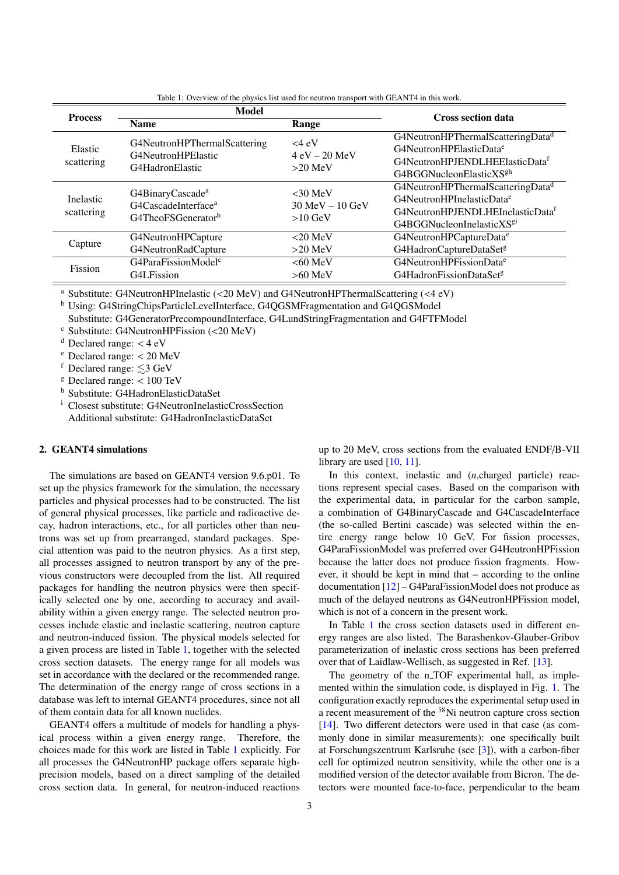<span id="page-2-1"></span>

| <b>Process</b>          | <b>Model</b>                                                                                      |                                              | <b>Cross section data</b>                                                                                                                                                       |  |
|-------------------------|---------------------------------------------------------------------------------------------------|----------------------------------------------|---------------------------------------------------------------------------------------------------------------------------------------------------------------------------------|--|
|                         | <b>Name</b>                                                                                       | Range                                        |                                                                                                                                                                                 |  |
| Elastic<br>scattering   | G4NeutronHPThermalScattering<br>G4NeutronHPElastic<br>G4HadronElastic                             | $<$ 4 eV<br>$4 eV - 20 MeV$<br>$>20$ MeV     | G4NeutronHPThermalScatteringData <sup>d</sup><br>G4NeutronHPElasticData <sup>e</sup><br>G4NeutronHPJENDLHEElasticData <sup>f</sup><br>G4BGGNucleonElasticXS <sup>gh</sup>       |  |
| Inelastic<br>scattering | G4BinaryCascade <sup>a</sup><br>G4CascadeInterface <sup>a</sup><br>G4TheoFSGenerator <sup>b</sup> | $<30$ MeV<br>$30$ MeV $-10$ GeV<br>$>10$ GeV | G4NeutronHPThermalScatteringData <sup>d</sup><br>G4NeutronHPInelasticData <sup>e</sup><br>G4NeutronHPJENDLHEInelasticData <sup>f</sup><br>G4BGGNucleonInelasticXS <sup>g1</sup> |  |
| Capture                 | G4NeutronHPCapture<br>G4NeutronRadCapture                                                         | $< 20$ MeV<br>$>20$ MeV                      | G4NeutronHPCaptureData <sup>e</sup><br>G4HadronCaptureDataSet <sup>g</sup>                                                                                                      |  |
| Fission                 | G4ParaFissionModel <sup>c</sup><br>G4L Fission                                                    | $<60$ MeV<br>$>60$ MeV                       | G4NeutronHPFissionData <sup>e</sup><br>G4HadronFissionDataSet <sup>g</sup>                                                                                                      |  |

Table 1: Overview of the physics list used for neutron transport with GEANT4 in this work.

<sup>a</sup> Substitute: G4NeutronHPInelastic (<20 MeV) and G4NeutronHPThermalScattering (<4 eV)

<sup>b</sup> Using: G4StringChipsParticleLevelInterface, G4QGSMFragmentation and G4QGSModel

Substitute: G4GeneratorPrecompoundInterface, G4LundStringFragmentation and G4FTFModel

 $\textdegree$  Substitute: G4NeutronHPFission (<20 MeV)

 $d$  Declared range:  $<$  4 eV

 $e$  Declared range:  $<$  20 MeV

f Declared range:  $\leq 3$  GeV

 $g$  Declared range:  $< 100$  TeV

<sup>h</sup> Substitute: G4HadronElasticDataSet

<sup>i</sup> Closest substitute: G4NeutronInelasticCrossSection Additional substitute: G4HadronInelasticDataSet

### <span id="page-2-0"></span>2. GEANT4 simulations

The simulations are based on GEANT4 version 9.6.p01. To set up the physics framework for the simulation, the necessary particles and physical processes had to be constructed. The list of general physical processes, like particle and radioactive decay, hadron interactions, etc., for all particles other than neutrons was set up from prearranged, standard packages. Special attention was paid to the neutron physics. As a first step, all processes assigned to neutron transport by any of the previous constructors were decoupled from the list. All required packages for handling the neutron physics were then specifically selected one by one, according to accuracy and availability within a given energy range. The selected neutron processes include elastic and inelastic scattering, neutron capture and neutron-induced fission. The physical models selected for a given process are listed in Table [1,](#page-2-1) together with the selected cross section datasets. The energy range for all models was set in accordance with the declared or the recommended range. The determination of the energy range of cross sections in a database was left to internal GEANT4 procedures, since not all of them contain data for all known nuclides.

GEANT4 offers a multitude of models for handling a physical process within a given energy range. Therefore, the choices made for this work are listed in Table [1](#page-2-1) explicitly. For all processes the G4NeutronHP package offers separate highprecision models, based on a direct sampling of the detailed cross section data. In general, for neutron-induced reactions

up to 20 MeV, cross sections from the evaluated ENDF/B-VII library are used [\[10,](#page-11-9) [11\]](#page-11-10).

In this context, inelastic and (*n*,charged particle) reactions represent special cases. Based on the comparison with the experimental data, in particular for the carbon sample, a combination of G4BinaryCascade and G4CascadeInterface (the so-called Bertini cascade) was selected within the entire energy range below 10 GeV. For fission processes, G4ParaFissionModel was preferred over G4HeutronHPFission because the latter does not produce fission fragments. However, it should be kept in mind that – according to the online documentation [\[12\]](#page-11-11) – G4ParaFissionModel does not produce as much of the delayed neutrons as G4NeutronHPFission model, which is not of a concern in the present work.

In Table [1](#page-2-1) the cross section datasets used in different energy ranges are also listed. The Barashenkov-Glauber-Gribov parameterization of inelastic cross sections has been preferred over that of Laidlaw-Wellisch, as suggested in Ref. [\[13\]](#page-11-12).

The geometry of the n<sub>-TOF</sub> experimental hall, as implemented within the simulation code, is displayed in Fig. [1.](#page-3-0) The configuration exactly reproduces the experimental setup used in a recent measurement of the <sup>58</sup>Ni neutron capture cross section [\[14\]](#page-11-13). Two different detectors were used in that case (as commonly done in similar measurements): one specifically built at Forschungszentrum Karlsruhe (see [\[3\]](#page-11-2)), with a carbon-fiber cell for optimized neutron sensitivity, while the other one is a modified version of the detector available from Bicron. The detectors were mounted face-to-face, perpendicular to the beam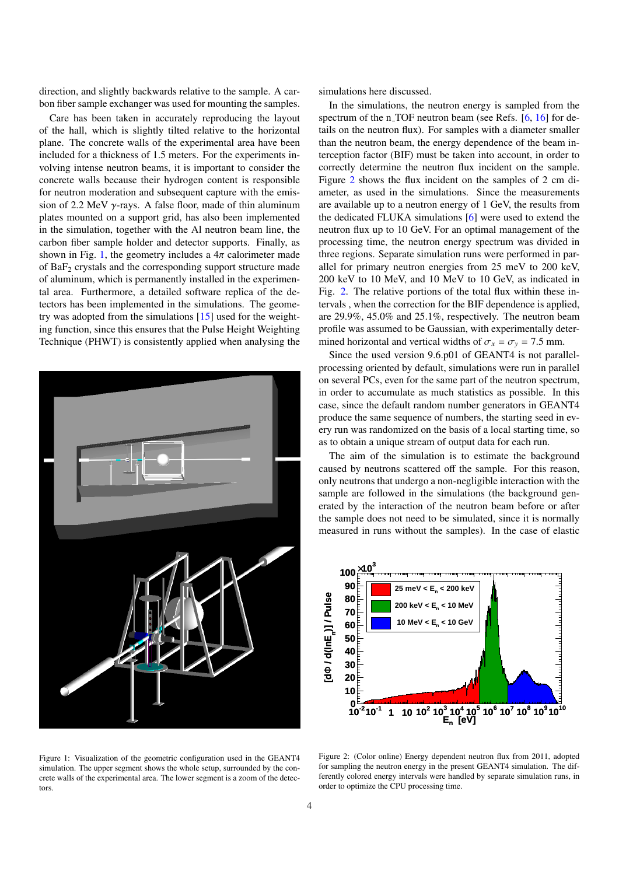direction, and slightly backwards relative to the sample. A carbon fiber sample exchanger was used for mounting the samples.

Care has been taken in accurately reproducing the layout of the hall, which is slightly tilted relative to the horizontal plane. The concrete walls of the experimental area have been included for a thickness of 1.5 meters. For the experiments involving intense neutron beams, it is important to consider the concrete walls because their hydrogen content is responsible for neutron moderation and subsequent capture with the emission of 2.2 MeV  $\gamma$ -rays. A false floor, made of thin aluminum plates mounted on a support grid, has also been implemented in the simulation, together with the Al neutron beam line, the carbon fiber sample holder and detector supports. Finally, as shown in Fig. [1,](#page-3-0) the geometry includes a  $4\pi$  calorimeter made of  $BaF<sub>2</sub>$  crystals and the corresponding support structure made of aluminum, which is permanently installed in the experimental area. Furthermore, a detailed software replica of the detectors has been implemented in the simulations. The geometry was adopted from the simulations [\[15\]](#page-11-14) used for the weighting function, since this ensures that the Pulse Height Weighting Technique (PHWT) is consistently applied when analysing the

<span id="page-3-0"></span>

Figure 1: Visualization of the geometric configuration used in the GEANT4 simulation. The upper segment shows the whole setup, surrounded by the concrete walls of the experimental area. The lower segment is a zoom of the detectors.

simulations here discussed.

In the simulations, the neutron energy is sampled from the spectrum of the n TOF neutron beam (see Refs.  $[6, 16]$  $[6, 16]$  $[6, 16]$  for details on the neutron flux). For samples with a diameter smaller than the neutron beam, the energy dependence of the beam interception factor (BIF) must be taken into account, in order to correctly determine the neutron flux incident on the sample. Figure [2](#page-3-1) shows the flux incident on the samples of 2 cm diameter, as used in the simulations. Since the measurements are available up to a neutron energy of 1 GeV, the results from the dedicated FLUKA simulations [\[6\]](#page-11-5) were used to extend the neutron flux up to 10 GeV. For an optimal management of the processing time, the neutron energy spectrum was divided in three regions. Separate simulation runs were performed in parallel for primary neutron energies from 25 meV to 200 keV, 200 keV to 10 MeV, and 10 MeV to 10 GeV, as indicated in Fig. [2.](#page-3-1) The relative portions of the total flux within these intervals , when the correction for the BIF dependence is applied, are 29.9%, 45.0% and 25.1%, respectively. The neutron beam profile was assumed to be Gaussian, with experimentally determined horizontal and vertical widths of  $\sigma_x = \sigma_y = 7.5$  mm.

Since the used version 9.6.p01 of GEANT4 is not parallelprocessing oriented by default, simulations were run in parallel on several PCs, even for the same part of the neutron spectrum, in order to accumulate as much statistics as possible. In this case, since the default random number generators in GEANT4 produce the same sequence of numbers, the starting seed in every run was randomized on the basis of a local starting time, so as to obtain a unique stream of output data for each run.

The aim of the simulation is to estimate the background caused by neutrons scattered off the sample. For this reason, only neutrons that undergo a non-negligible interaction with the sample are followed in the simulations (the background generated by the interaction of the neutron beam before or after the sample does not need to be simulated, since it is normally measured in runs without the samples). In the case of elastic

<span id="page-3-1"></span>

Figure 2: (Color online) Energy dependent neutron flux from 2011, adopted for sampling the neutron energy in the present GEANT4 simulation. The differently colored energy intervals were handled by separate simulation runs, in order to optimize the CPU processing time.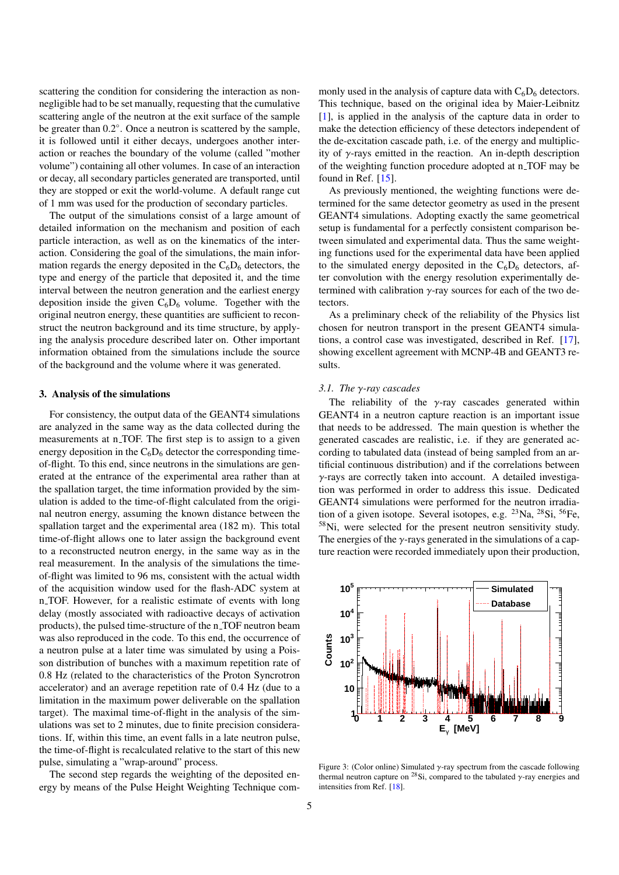scattering the condition for considering the interaction as nonnegligible had to be set manually, requesting that the cumulative scattering angle of the neutron at the exit surface of the sample be greater than 0.2°. Once a neutron is scattered by the sample, it is followed until it either decays, undergoes another interaction or reaches the boundary of the volume (called "mother volume") containing all other volumes. In case of an interaction or decay, all secondary particles generated are transported, until they are stopped or exit the world-volume. A default range cut of 1 mm was used for the production of secondary particles.

The output of the simulations consist of a large amount of detailed information on the mechanism and position of each particle interaction, as well as on the kinematics of the interaction. Considering the goal of the simulations, the main information regards the energy deposited in the  $C_6D_6$  detectors, the type and energy of the particle that deposited it, and the time interval between the neutron generation and the earliest energy deposition inside the given  $C_6D_6$  volume. Together with the original neutron energy, these quantities are sufficient to reconstruct the neutron background and its time structure, by applying the analysis procedure described later on. Other important information obtained from the simulations include the source of the background and the volume where it was generated.

#### <span id="page-4-0"></span>3. Analysis of the simulations

For consistency, the output data of the GEANT4 simulations are analyzed in the same way as the data collected during the measurements at n\_TOF. The first step is to assign to a given energy deposition in the  $C_6D_6$  detector the corresponding timeof-flight. To this end, since neutrons in the simulations are generated at the entrance of the experimental area rather than at the spallation target, the time information provided by the simulation is added to the time-of-flight calculated from the original neutron energy, assuming the known distance between the spallation target and the experimental area (182 m). This total time-of-flight allows one to later assign the background event to a reconstructed neutron energy, in the same way as in the real measurement. In the analysis of the simulations the timeof-flight was limited to 96 ms, consistent with the actual width of the acquisition window used for the flash-ADC system at n TOF. However, for a realistic estimate of events with long delay (mostly associated with radioactive decays of activation products), the pulsed time-structure of the n TOF neutron beam was also reproduced in the code. To this end, the occurrence of a neutron pulse at a later time was simulated by using a Poisson distribution of bunches with a maximum repetition rate of 0.8 Hz (related to the characteristics of the Proton Syncrotron accelerator) and an average repetition rate of 0.4 Hz (due to a limitation in the maximum power deliverable on the spallation target). The maximal time-of-flight in the analysis of the simulations was set to 2 minutes, due to finite precision considerations. If, within this time, an event falls in a late neutron pulse, the time-of-flight is recalculated relative to the start of this new pulse, simulating a "wrap-around" process.

The second step regards the weighting of the deposited energy by means of the Pulse Height Weighting Technique com-

monly used in the analysis of capture data with  $C_6D_6$  detectors. This technique, based on the original idea by Maier-Leibnitz [\[1\]](#page-11-0), is applied in the analysis of the capture data in order to make the detection efficiency of these detectors independent of the de-excitation cascade path, i.e. of the energy and multiplicity of  $\gamma$ -rays emitted in the reaction. An in-depth description of the weighting function procedure adopted at n TOF may be found in Ref. [\[15\]](#page-11-14).

As previously mentioned, the weighting functions were determined for the same detector geometry as used in the present GEANT4 simulations. Adopting exactly the same geometrical setup is fundamental for a perfectly consistent comparison between simulated and experimental data. Thus the same weighting functions used for the experimental data have been applied to the simulated energy deposited in the  $C_6D_6$  detectors, after convolution with the energy resolution experimentally determined with calibration  $\gamma$ -ray sources for each of the two detectors.

As a preliminary check of the reliability of the Physics list chosen for neutron transport in the present GEANT4 simulations, a control case was investigated, described in Ref. [\[17\]](#page-11-16), showing excellent agreement with MCNP-4B and GEANT3 results.

#### *3.1. The* γ*-ray cascades*

The reliability of the  $\gamma$ -ray cascades generated within GEANT4 in a neutron capture reaction is an important issue that needs to be addressed. The main question is whether the generated cascades are realistic, i.e. if they are generated according to tabulated data (instead of being sampled from an artificial continuous distribution) and if the correlations between  $\gamma$ -rays are correctly taken into account. A detailed investigation was performed in order to address this issue. Dedicated GEANT4 simulations were performed for the neutron irradiation of a given isotope. Several isotopes, e.g. <sup>23</sup>Na, <sup>28</sup>Si, <sup>56</sup>Fe, <sup>58</sup>Ni, were selected for the present neutron sensitivity study. The energies of the  $\gamma$ -rays generated in the simulations of a capture reaction were recorded immediately upon their production,

<span id="page-4-1"></span>

Figure 3: (Color online) Simulated  $\gamma$ -ray spectrum from the cascade following thermal neutron capture on <sup>28</sup>Si, compared to the tabulated  $\gamma$ -ray energies and intensities from Ref. [\[18\]](#page-11-17).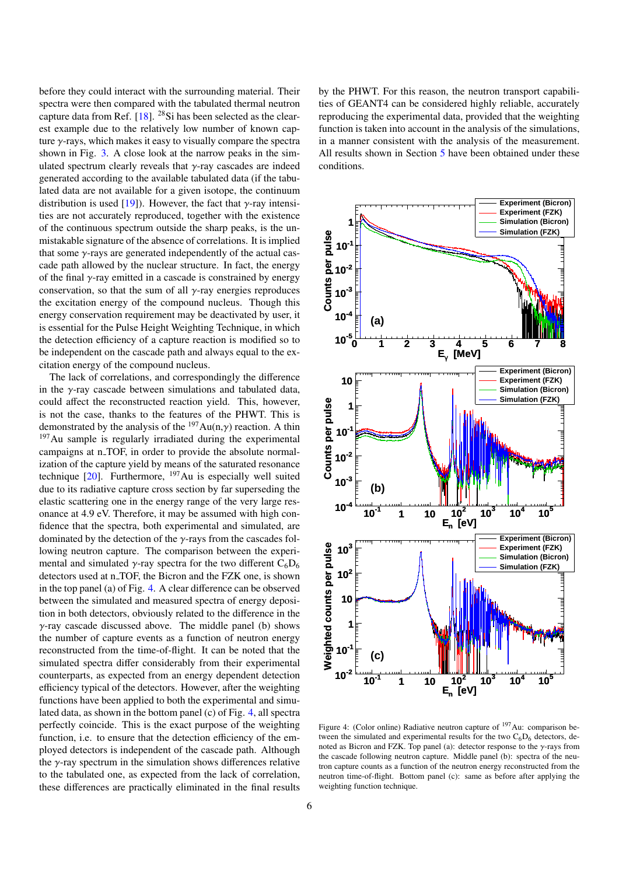before they could interact with the surrounding material. Their spectra were then compared with the tabulated thermal neutron capture data from Ref.  $[18]$ . <sup>28</sup>Si has been selected as the clearest example due to the relatively low number of known capture  $\gamma$ -rays, which makes it easy to visually compare the spectra shown in Fig. [3.](#page-4-1) A close look at the narrow peaks in the simulated spectrum clearly reveals that  $\gamma$ -ray cascades are indeed generated according to the available tabulated data (if the tabulated data are not available for a given isotope, the continuum distribution is used [\[19\]](#page-11-18)). However, the fact that  $\gamma$ -ray intensities are not accurately reproduced, together with the existence of the continuous spectrum outside the sharp peaks, is the unmistakable signature of the absence of correlations. It is implied that some  $\gamma$ -rays are generated independently of the actual cascade path allowed by the nuclear structure. In fact, the energy of the final  $\gamma$ -ray emitted in a cascade is constrained by energy conservation, so that the sum of all  $\gamma$ -ray energies reproduces the excitation energy of the compound nucleus. Though this energy conservation requirement may be deactivated by user, it is essential for the Pulse Height Weighting Technique, in which the detection efficiency of a capture reaction is modified so to be independent on the cascade path and always equal to the excitation energy of the compound nucleus.

The lack of correlations, and correspondingly the difference in the  $\gamma$ -ray cascade between simulations and tabulated data, could affect the reconstructed reaction yield. This, however, is not the case, thanks to the features of the PHWT. This is demonstrated by the analysis of the  $197Au(n,y)$  reaction. A thin <sup>197</sup>Au sample is regularly irradiated during the experimental campaigns at n\_TOF, in order to provide the absolute normalization of the capture yield by means of the saturated resonance technique  $[20]$ . Furthermore,  $^{197}$ Au is especially well suited due to its radiative capture cross section by far superseding the elastic scattering one in the energy range of the very large resonance at 4.9 eV. Therefore, it may be assumed with high confidence that the spectra, both experimental and simulated, are dominated by the detection of the  $\gamma$ -rays from the cascades following neutron capture. The comparison between the experimental and simulated  $\gamma$ -ray spectra for the two different  $C_6D_6$ detectors used at n\_TOF, the Bicron and the FZK one, is shown in the top panel (a) of Fig. [4.](#page-5-0) A clear difference can be observed between the simulated and measured spectra of energy deposition in both detectors, obviously related to the difference in the  $\gamma$ -ray cascade discussed above. The middle panel (b) shows the number of capture events as a function of neutron energy reconstructed from the time-of-flight. It can be noted that the simulated spectra differ considerably from their experimental counterparts, as expected from an energy dependent detection efficiency typical of the detectors. However, after the weighting functions have been applied to both the experimental and simulated data, as shown in the bottom panel (c) of Fig. [4,](#page-5-0) all spectra perfectly coincide. This is the exact purpose of the weighting function, i.e. to ensure that the detection efficiency of the employed detectors is independent of the cascade path. Although the  $\gamma$ -ray spectrum in the simulation shows differences relative to the tabulated one, as expected from the lack of correlation, these differences are practically eliminated in the final results

by the PHWT. For this reason, the neutron transport capabilities of GEANT4 can be considered highly reliable, accurately reproducing the experimental data, provided that the weighting function is taken into account in the analysis of the simulations, in a manner consistent with the analysis of the measurement. All results shown in Section [5](#page-7-0) have been obtained under these conditions.

<span id="page-5-0"></span>

Figure 4: (Color online) Radiative neutron capture of <sup>197</sup>Au: comparison between the simulated and experimental results for the two  $C_6D_6$  detectors, denoted as Bicron and FZK. Top panel (a): detector response to the  $\gamma$ -rays from the cascade following neutron capture. Middle panel (b): spectra of the neutron capture counts as a function of the neutron energy reconstructed from the neutron time-of-flight. Bottom panel (c): same as before after applying the weighting function technique.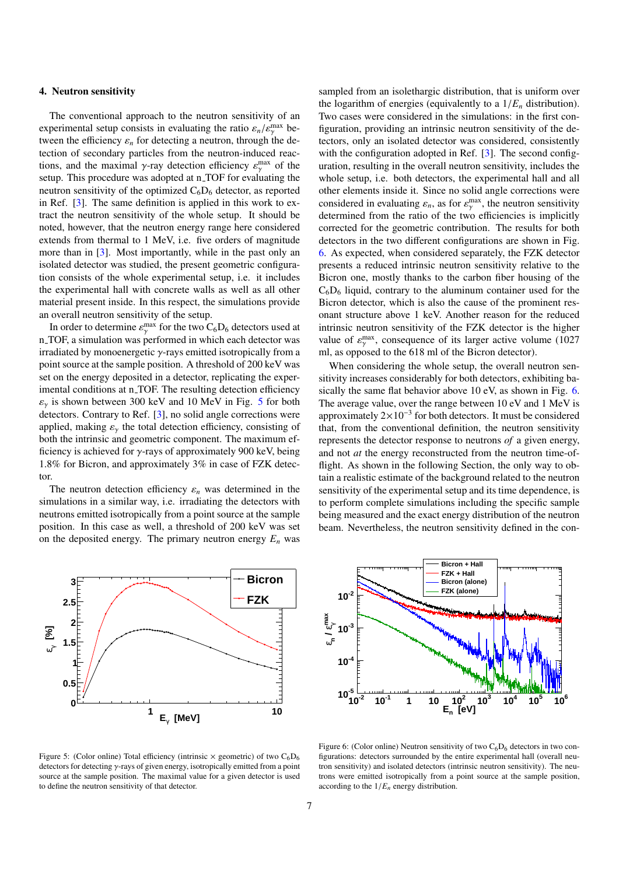#### <span id="page-6-0"></span>4. Neutron sensitivity

The conventional approach to the neutron sensitivity of an experimental setup consists in evaluating the ratio  $\varepsilon_n / \varepsilon_{\gamma}^{\max}$  be-<br>tween the efficiency s, for detecting a neutron, through the detween the efficiency  $\varepsilon_n$  for detecting a neutron, through the detection of secondary particles from the neutron-induced reactions, and the maximal  $\gamma$ -ray detection efficiency  $\varepsilon_{\gamma}^{\text{max}}$  of the setup. This procedure was adopted at n TOF for evaluating the setup. This procedure was adopted at n\_TOF for evaluating the neutron sensitivity of the optimized  $C_6D_6$  detector, as reported in Ref. [\[3\]](#page-11-2). The same definition is applied in this work to extract the neutron sensitivity of the whole setup. It should be noted, however, that the neutron energy range here considered extends from thermal to 1 MeV, i.e. five orders of magnitude more than in [\[3\]](#page-11-2). Most importantly, while in the past only an isolated detector was studied, the present geometric configuration consists of the whole experimental setup, i.e. it includes the experimental hall with concrete walls as well as all other material present inside. In this respect, the simulations provide an overall neutron sensitivity of the setup.

In order to determine  $\varepsilon_{\gamma}^{\text{max}}$  for the two  $C_6D_6$  detectors used at  $TOF$  a simulation was performed in which each detector was n TOF, a simulation was performed in which each detector was irradiated by monoenergetic  $\gamma$ -rays emitted isotropically from a point source at the sample position. A threshold of 200 keV was set on the energy deposited in a detector, replicating the experimental conditions at n\_TOF. The resulting detection efficiency  $\varepsilon_{\gamma}$  is shown between 300 keV and 10 MeV in Fig. [5](#page-6-1) for both detectors. Contrary to Ref. [\[3\]](#page-11-2), no solid angle corrections were applied, making  $\varepsilon_{\gamma}$  the total detection efficiency, consisting of both the intrinsic and geometric component. The maximum efficiency is achieved for  $\gamma$ -rays of approximately 900 keV, being 1.8% for Bicron, and approximately 3% in case of FZK detector.

The neutron detection efficiency  $\varepsilon_n$  was determined in the simulations in a similar way, i.e. irradiating the detectors with neutrons emitted isotropically from a point source at the sample position. In this case as well, a threshold of 200 keV was set on the deposited energy. The primary neutron energy  $E_n$  was

the logarithm of energies (equivalently to a  $1/E_n$  distribution). Two cases were considered in the simulations: in the first configuration, providing an intrinsic neutron sensitivity of the detectors, only an isolated detector was considered, consistently with the configuration adopted in Ref. [\[3\]](#page-11-2). The second configuration, resulting in the overall neutron sensitivity, includes the whole setup, i.e. both detectors, the experimental hall and all other elements inside it. Since no solid angle corrections were considered in evaluating  $\varepsilon_n$ , as for  $\varepsilon_{\gamma}^{\text{max}}$ , the neutron sensitivity<br>determined from the ratio of the two efficiencies is implicitly determined from the ratio of the two efficiencies is implicitly corrected for the geometric contribution. The results for both detectors in the two different configurations are shown in Fig. [6.](#page-6-2) As expected, when considered separately, the FZK detector presents a reduced intrinsic neutron sensitivity relative to the Bicron one, mostly thanks to the carbon fiber housing of the  $C_6D_6$  liquid, contrary to the aluminum container used for the Bicron detector, which is also the cause of the prominent resonant structure above 1 keV. Another reason for the reduced intrinsic neutron sensitivity of the FZK detector is the higher value of  $\varepsilon_{\gamma}^{\text{max}}$ , consequence of its larger active volume (1027 m) as opposed to the 618 m) of the Bicron detector)

sampled from an isolethargic distribution, that is uniform over

ml, as opposed to the 618 ml of the Bicron detector). When considering the whole setup, the overall neutron sensitivity increases considerably for both detectors, exhibiting ba-sically the same flat behavior above 10 eV, as shown in Fig. [6.](#page-6-2) The average value, over the range between 10 eV and 1 MeV is approximately 2×10<sup>−</sup><sup>3</sup> for both detectors. It must be considered that, from the conventional definition, the neutron sensitivity represents the detector response to neutrons *of* a given energy, and not *at* the energy reconstructed from the neutron time-offlight. As shown in the following Section, the only way to obtain a realistic estimate of the background related to the neutron sensitivity of the experimental setup and its time dependence, is to perform complete simulations including the specific sample being measured and the exact energy distribution of the neutron beam. Nevertheless, the neutron sensitivity defined in the con-

<span id="page-6-1"></span>

Figure 5: (Color online) Total efficiency (intrinsic  $\times$  geometric) of two C<sub>6</sub>D<sub>6</sub> detectors for detecting γ-rays of given energy, isotropically emitted from a point source at the sample position. The maximal value for a given detector is used to define the neutron sensitivity of that detector.

<span id="page-6-2"></span>

Figure 6: (Color online) Neutron sensitivity of two  $C_6D_6$  detectors in two configurations: detectors surrounded by the entire experimental hall (overall neutron sensitivity) and isolated detectors (intrinsic neutron sensitivity). The neutrons were emitted isotropically from a point source at the sample position, according to the  $1/E_n$  energy distribution.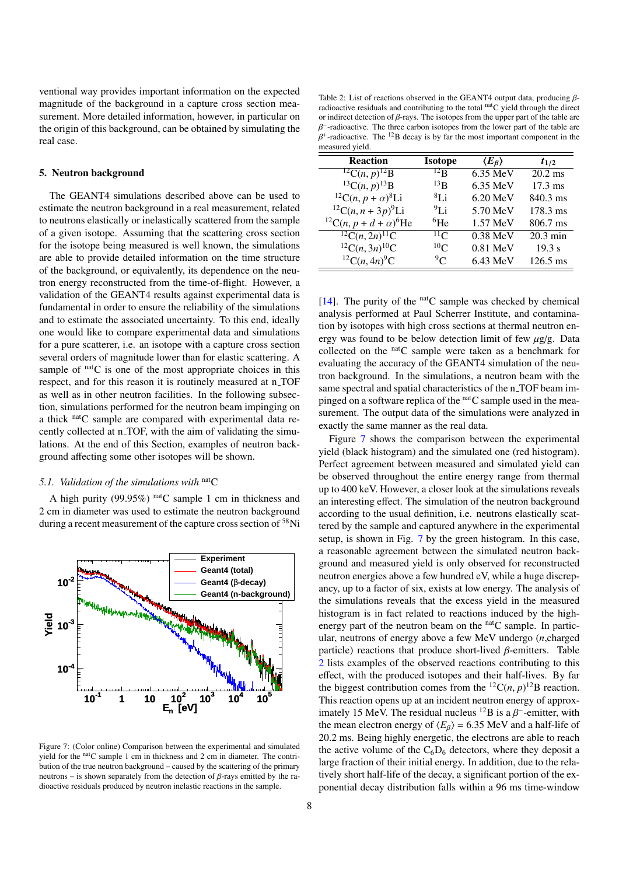ventional way provides important information on the expected magnitude of the background in a capture cross section measurement. More detailed information, however, in particular on the origin of this background, can be obtained by simulating the real case.

#### <span id="page-7-0"></span>5. Neutron background

The GEANT4 simulations described above can be used to estimate the neutron background in a real measurement, related to neutrons elastically or inelastically scattered from the sample of a given isotope. Assuming that the scattering cross section for the isotope being measured is well known, the simulations are able to provide detailed information on the time structure of the background, or equivalently, its dependence on the neutron energy reconstructed from the time-of-flight. However, a validation of the GEANT4 results against experimental data is fundamental in order to ensure the reliability of the simulations and to estimate the associated uncertainty. To this end, ideally one would like to compare experimental data and simulations for a pure scatterer, i.e. an isotope with a capture cross section several orders of magnitude lower than for elastic scattering. A sample of  $<sup>nat</sup>C$  is one of the most appropriate choices in this</sup> respect, and for this reason it is routinely measured at n\_TOF as well as in other neutron facilities. In the following subsection, simulations performed for the neutron beam impinging on a thick nat<sub>C</sub> sample are compared with experimental data recently collected at n<sub>-TOF</sub>, with the aim of validating the simulations. At the end of this Section, examples of neutron background affecting some other isotopes will be shown.

# *5.1. Validation of the simulations with* natC

A high purity (99.95%) nat<sub>C</sub> sample 1 cm in thickness and 2 cm in diameter was used to estimate the neutron background during a recent measurement of the capture cross section of <sup>58</sup>Ni

<span id="page-7-1"></span>

Figure 7: (Color online) Comparison between the experimental and simulated yield for the natC sample 1 cm in thickness and 2 cm in diameter. The contribution of the true neutron background – caused by the scattering of the primary neutrons – is shown separately from the detection of  $β$ -rays emitted by the radioactive residuals produced by neutron inelastic reactions in the sample.

<span id="page-7-2"></span>Table 2: List of reactions observed in the GEANT4 output data, producing βradioactive residuals and contributing to the total natC yield through the direct or indirect detection of  $\beta$ -rays. The isotopes from the upper part of the table are  $\beta^+$ -radioactive. The <sup>12</sup>B decay is by far the most important component in the  $\beta^+$ -radioactive. − -radioactive. The three carbon isotopes from the lower part of the table are measured yield.

| <b>Reaction</b>                                                              | <b>Isotope</b>  | $\langle E_{\beta}\rangle$ | $t_{1/2}$          |
|------------------------------------------------------------------------------|-----------------|----------------------------|--------------------|
| ${}^{12}C(n,p){}^{12}B$                                                      | $^{12}$ B       | 6.35 MeV                   | $20.2$ ms          |
| ${}^{13}C(n,p){}^{13}B$                                                      | $^{13}$ B       | 6.35 MeV                   | $17.3 \text{ ms}$  |
| <sup>12</sup> C( <i>n</i> , <i>p</i> + $\alpha$ ) <sup>8</sup> Li            | $^{8}$ Li       | $6.20$ MeV                 | 840.3 ms           |
| ${}^{12}C(n, n+3p){}^{9}Li$                                                  | 91i             | 5.70 MeV                   | 178.3 ms           |
| <sup>12</sup> C( <i>n</i> , <i>p</i> + <i>d</i> + $\alpha$ ) <sup>6</sup> He | ${}^{6}$ He     | $1.57$ MeV                 | 806.7 ms           |
| ${}^{12}C(n, 2n) {}^{11}C$                                                   | $^{11}$ C       | 0.38 MeV                   | $20.3 \text{ min}$ |
| ${}^{12}C(n, 3n) {}^{10}C$                                                   | 10 <sub>C</sub> | 0.81 MeV                   | 19.3 s             |
| ${}^{12}C(n,4n){}^{9}C$                                                      | $\rm{^{9}C}$    | $6.43$ MeV                 | $126.5 \text{ ms}$ |
|                                                                              |                 |                            |                    |

[\[14\]](#page-11-13). The purity of the  $<sup>nat</sup>C$  sample was checked by chemical</sup> analysis performed at Paul Scherrer Institute, and contamination by isotopes with high cross sections at thermal neutron energy was found to be below detection limit of few  $\mu$ g/g. Data collected on the nat<sub>C</sub> sample were taken as a benchmark for evaluating the accuracy of the GEANT4 simulation of the neutron background. In the simulations, a neutron beam with the same spectral and spatial characteristics of the n\_TOF beam impinged on a software replica of the natC sample used in the measurement. The output data of the simulations were analyzed in exactly the same manner as the real data.

Figure [7](#page-7-1) shows the comparison between the experimental yield (black histogram) and the simulated one (red histogram). Perfect agreement between measured and simulated yield can be observed throughout the entire energy range from thermal up to 400 keV. However, a closer look at the simulations reveals an interesting effect. The simulation of the neutron background according to the usual definition, i.e. neutrons elastically scattered by the sample and captured anywhere in the experimental setup, is shown in Fig. [7](#page-7-1) by the green histogram. In this case, a reasonable agreement between the simulated neutron background and measured yield is only observed for reconstructed neutron energies above a few hundred eV, while a huge discrepancy, up to a factor of six, exists at low energy. The analysis of the simulations reveals that the excess yield in the measured histogram is in fact related to reactions induced by the highenergy part of the neutron beam on the  $<sup>nat</sup>C$  sample. In partic-</sup> ular, neutrons of energy above a few MeV undergo (*n*,charged particle) reactions that produce short-lived  $\beta$ -emitters. Table [2](#page-7-2) lists examples of the observed reactions contributing to this effect, with the produced isotopes and their half-lives. By far the biggest contribution comes from the  ${}^{12}C(n, p){}^{12}B$  reaction.<br>This reaction opens up at an incident neutron energy of approx-This reaction opens up at an incident neutron energy of approximately 15 MeV. The residual nucleus <sup>12</sup>B is a  $\beta^-$ -emitter, with<br>the mean electron energy of  $\angle E_{\alpha}$  – 6.35 MeV and a half-life of the mean electron energy of  $\langle E_B \rangle$  = 6.35 MeV and a half-life of 20.2 ms. Being highly energetic, the electrons are able to reach the active volume of the  $C_6D_6$  detectors, where they deposit a large fraction of their initial energy. In addition, due to the relatively short half-life of the decay, a significant portion of the exponential decay distribution falls within a 96 ms time-window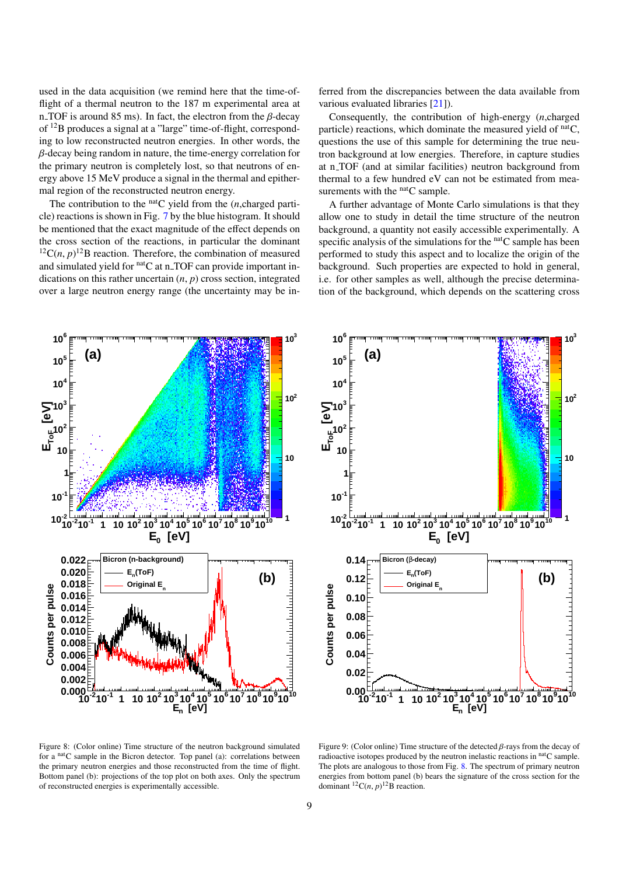used in the data acquisition (we remind here that the time-offlight of a thermal neutron to the 187 m experimental area at n TOF is around 85 ms). In fact, the electron from the  $\beta$ -decay of <sup>12</sup>B produces a signal at a "large" time-of-flight, corresponding to low reconstructed neutron energies. In other words, the  $\beta$ -decay being random in nature, the time-energy correlation for the primary neutron is completely lost, so that neutrons of energy above 15 MeV produce a signal in the thermal and epithermal region of the reconstructed neutron energy.

The contribution to the  $<sup>nat</sup>C$  yield from the  $(n, charged)$  parti-</sup> cle) reactions is shown in Fig. [7](#page-7-1) by the blue histogram. It should be mentioned that the exact magnitude of the effect depends on the cross section of the reactions, in particular the dominant <sup>12</sup>C(*n*, *p*)<sup>12</sup>B reaction. Therefore, the combination of measured<br>and simulated vield for <sup>nat</sup>C at n TOE can provide important inand simulated yield for natC at n\_TOF can provide important indications on this rather uncertain (*n*, *<sup>p</sup>*) cross section, integrated over a large neutron energy range (the uncertainty may be inferred from the discrepancies between the data available from various evaluated libraries [\[21\]](#page-11-20)).

Consequently, the contribution of high-energy (*n*,charged particle) reactions, which dominate the measured yield of  $<sup>n</sup>a<sup>t</sup>C$ ,</sup> questions the use of this sample for determining the true neutron background at low energies. Therefore, in capture studies at n\_TOF (and at similar facilities) neutron background from thermal to a few hundred eV can not be estimated from measurements with the  $<sup>nat</sup>C$  sample.</sup>

A further advantage of Monte Carlo simulations is that they allow one to study in detail the time structure of the neutron background, a quantity not easily accessible experimentally. A specific analysis of the simulations for the natC sample has been performed to study this aspect and to localize the origin of the background. Such properties are expected to hold in general, i.e. for other samples as well, although the precise determination of the background, which depends on the scattering cross

<span id="page-8-0"></span>

<span id="page-8-1"></span>

Figure 8: (Color online) Time structure of the neutron background simulated for a <sup>nat</sup>C sample in the Bicron detector. Top panel (a): correlations between the primary neutron energies and those reconstructed from the time of flight. Bottom panel (b): projections of the top plot on both axes. Only the spectrum of reconstructed energies is experimentally accessible.

Figure 9: (Color online) Time structure of the detected  $\beta$ -rays from the decay of radioactive isotopes produced by the neutron inelastic reactions in natC sample. The plots are analogous to those from Fig. [8.](#page-8-0) The spectrum of primary neutron energies from bottom panel (b) bears the signature of the cross section for the dominant  ${}^{12}C(n, p)$ <sup>12</sup>B reaction.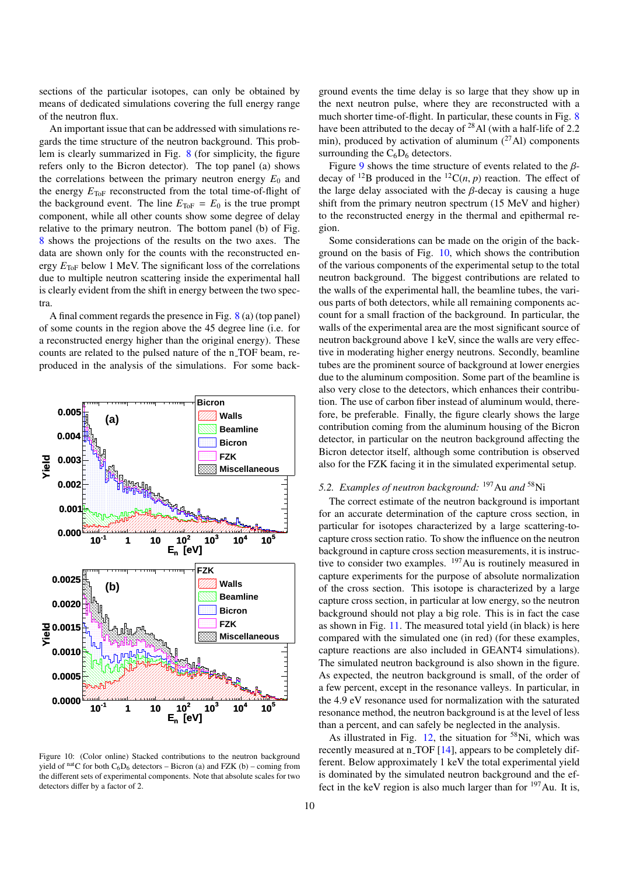sections of the particular isotopes, can only be obtained by means of dedicated simulations covering the full energy range of the neutron flux.

An important issue that can be addressed with simulations regards the time structure of the neutron background. This problem is clearly summarized in Fig. [8](#page-8-0) (for simplicity, the figure refers only to the Bicron detector). The top panel (a) shows the correlations between the primary neutron energy  $E_0$  and the energy  $E_{\text{ToF}}$  reconstructed from the total time-of-flight of the background event. The line  $E_{\text{ToF}} = E_0$  is the true prompt component, while all other counts show some degree of delay relative to the primary neutron. The bottom panel (b) of Fig. [8](#page-8-0) shows the projections of the results on the two axes. The data are shown only for the counts with the reconstructed energy  $E_{\text{ToF}}$  below 1 MeV. The significant loss of the correlations due to multiple neutron scattering inside the experimental hall is clearly evident from the shift in energy between the two spectra.

A final comment regards the presence in Fig. [8](#page-8-0) (a) (top panel) of some counts in the region above the 45 degree line (i.e. for a reconstructed energy higher than the original energy). These counts are related to the pulsed nature of the n<sub>-TOF</sub> beam, reproduced in the analysis of the simulations. For some back-

<span id="page-9-0"></span>

Figure 10: (Color online) Stacked contributions to the neutron background yield of natC for both  $C_6D_6$  detectors – Bicron (a) and FZK (b) – coming from the different sets of experimental components. Note that absolute scales for two detectors differ by a factor of 2.

ground events the time delay is so large that they show up in the next neutron pulse, where they are reconstructed with a much shorter time-of-flight. In particular, these counts in Fig. [8](#page-8-0) have been attributed to the decay of <sup>28</sup>Al (with a half-life of 2.2) min), produced by activation of aluminum  $(^{27}$ Al) components surrounding the  $C_6D_6$  detectors.

Figure [9](#page-8-1) shows the time structure of events related to the  $\beta$ decay of <sup>12</sup>B produced in the <sup>12</sup>C(*n*, *p*) reaction. The effect of the large delay associated with the  $\beta$ -decay is causing a huge shift from the primary neutron spectrum (15 MeV and higher) to the reconstructed energy in the thermal and epithermal region.

Some considerations can be made on the origin of the background on the basis of Fig. [10,](#page-9-0) which shows the contribution of the various components of the experimental setup to the total neutron background. The biggest contributions are related to the walls of the experimental hall, the beamline tubes, the various parts of both detectors, while all remaining components account for a small fraction of the background. In particular, the walls of the experimental area are the most significant source of neutron background above 1 keV, since the walls are very effective in moderating higher energy neutrons. Secondly, beamline tubes are the prominent source of background at lower energies due to the aluminum composition. Some part of the beamline is also very close to the detectors, which enhances their contribution. The use of carbon fiber instead of aluminum would, therefore, be preferable. Finally, the figure clearly shows the large contribution coming from the aluminum housing of the Bicron detector, in particular on the neutron background affecting the Bicron detector itself, although some contribution is observed also for the FZK facing it in the simulated experimental setup.

# *5.2. Examples of neutron background:* <sup>197</sup>Au *and* <sup>58</sup>Ni

The correct estimate of the neutron background is important for an accurate determination of the capture cross section, in particular for isotopes characterized by a large scattering-tocapture cross section ratio. To show the influence on the neutron background in capture cross section measurements, it is instructive to consider two examples. <sup>197</sup>Au is routinely measured in capture experiments for the purpose of absolute normalization of the cross section. This isotope is characterized by a large capture cross section, in particular at low energy, so the neutron background should not play a big role. This is in fact the case as shown in Fig. [11.](#page-10-0) The measured total yield (in black) is here compared with the simulated one (in red) (for these examples, capture reactions are also included in GEANT4 simulations). The simulated neutron background is also shown in the figure. As expected, the neutron background is small, of the order of a few percent, except in the resonance valleys. In particular, in the 4.9 eV resonance used for normalization with the saturated resonance method, the neutron background is at the level of less than a percent, and can safely be neglected in the analysis.

As illustrated in Fig.  $12$ , the situation for <sup>58</sup>Ni, which was recently measured at n\_TOF [\[14\]](#page-11-13), appears to be completely different. Below approximately 1 keV the total experimental yield is dominated by the simulated neutron background and the effect in the keV region is also much larger than for <sup>197</sup>Au. It is,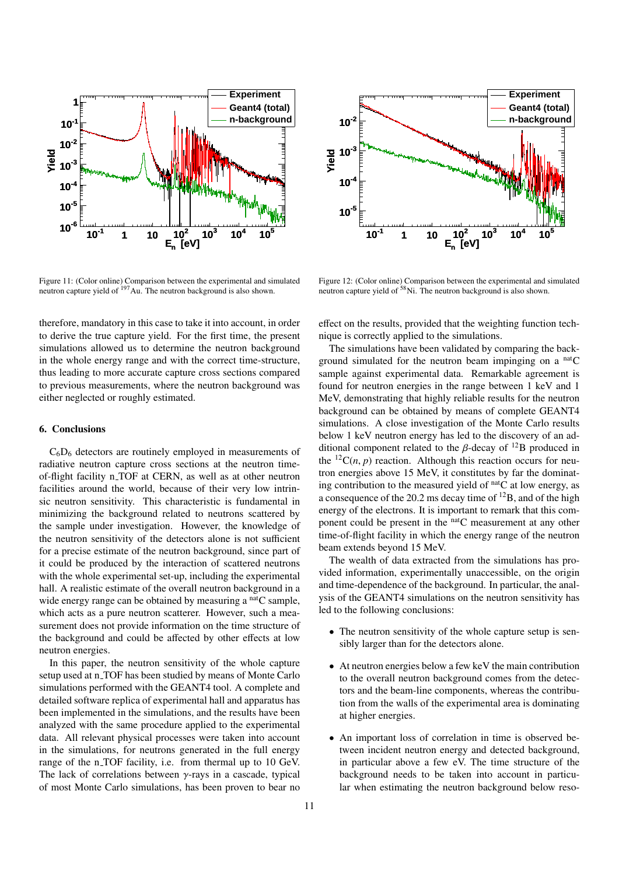<span id="page-10-0"></span>

Figure 11: (Color online) Comparison between the experimental and simulated neutron capture yield of <sup>197</sup>Au. The neutron background is also shown.

therefore, mandatory in this case to take it into account, in order to derive the true capture yield. For the first time, the present simulations allowed us to determine the neutron background in the whole energy range and with the correct time-structure, thus leading to more accurate capture cross sections compared to previous measurements, where the neutron background was either neglected or roughly estimated.

## 6. Conclusions

 $C_6D_6$  detectors are routinely employed in measurements of radiative neutron capture cross sections at the neutron timeof-flight facility n\_TOF at CERN, as well as at other neutron facilities around the world, because of their very low intrinsic neutron sensitivity. This characteristic is fundamental in minimizing the background related to neutrons scattered by the sample under investigation. However, the knowledge of the neutron sensitivity of the detectors alone is not sufficient for a precise estimate of the neutron background, since part of it could be produced by the interaction of scattered neutrons with the whole experimental set-up, including the experimental hall. A realistic estimate of the overall neutron background in a wide energy range can be obtained by measuring a <sup>nat</sup>C sample, which acts as a pure neutron scatterer. However, such a measurement does not provide information on the time structure of the background and could be affected by other effects at low neutron energies. **Fact 1:** Color online) Comparison between the agention and simulated Figure 12: Color online) Comparison between the proven to the control of the most method on the car of the time account of the car of the car normality

In this paper, the neutron sensitivity of the whole capture setup used at n\_TOF has been studied by means of Monte Carlo simulations performed with the GEANT4 tool. A complete and detailed software replica of experimental hall and apparatus has been implemented in the simulations, and the results have been analyzed with the same procedure applied to the experimental data. All relevant physical processes were taken into account in the simulations, for neutrons generated in the full energy range of the n\_TOF facility, i.e. from thermal up to 10 GeV. The lack of correlations between  $\gamma$ -rays in a cascade, typical of most Monte Carlo simulations, has been proven to bear no

<span id="page-10-1"></span>

Figure 12: (Color online) Comparison between the experimental and simulated neutron capture yield of <sup>58</sup>Ni. The neutron background is also shown.

effect on the results, provided that the weighting function technique is correctly applied to the simulations.

The simulations have been validated by comparing the background simulated for the neutron beam impinging on a  $<sup>nat</sup>C$ </sup> sample against experimental data. Remarkable agreement is found for neutron energies in the range between 1 keV and 1 MeV, demonstrating that highly reliable results for the neutron background can be obtained by means of complete GEANT4 simulations. A close investigation of the Monte Carlo results below 1 keV neutron energy has led to the discovery of an additional component related to the  $\beta$ -decay of <sup>12</sup>B produced in the  ${}^{12}C(n, p)$  reaction. Although this reaction occurs for neutron energies above 15 MeV, it constitutes by far the dominating contribution to the measured yield of  $<sup>n</sup>$ C at low energy, as</sup> a consequence of the 20.2 ms decay time of <sup>12</sup>B, and of the high energy of the electrons. It is important to remark that this component could be present in the natC measurement at any other time-of-flight facility in which the energy range of the neutron beam extends beyond 15 MeV.

The wealth of data extracted from the simulations has provided information, experimentally unaccessible, on the origin and time-dependence of the background. In particular, the analysis of the GEANT4 simulations on the neutron sensitivity has led to the following conclusions:

- The neutron sensitivity of the whole capture setup is sensibly larger than for the detectors alone.
- At neutron energies below a few keV the main contribution to the overall neutron background comes from the detectors and the beam-line components, whereas the contribution from the walls of the experimental area is dominating at higher energies.
- An important loss of correlation in time is observed between incident neutron energy and detected background, in particular above a few eV. The time structure of the background needs to be taken into account in particular when estimating the neutron background below reso-